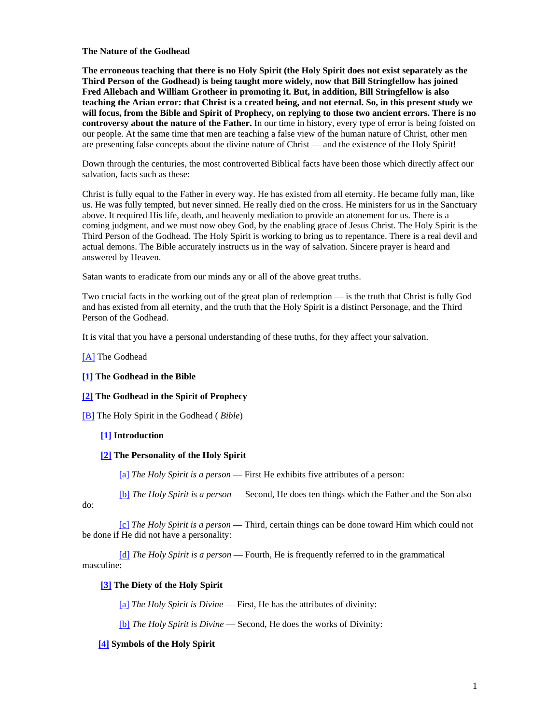**The Nature of the Godhead** 

**The erroneous teaching that there is no Holy Spirit (the Holy Spirit does not exist separately as the Third Person of the Godhead) is being taught more widely, now that Bill Stringfellow has joined Fred Allebach and William Grotheer in promoting it. But, in addition, Bill Stringfellow is also teaching the Arian error: that Christ is a created being, and not eternal. So, in this present study we will focus, from the Bible and Spirit of Prophecy, on replying to those two ancient errors. There is no controversy about the nature of the Father.** In our time in history, every type of error is being foisted on our people. At the same time that men are teaching a false view of the human nature of Christ, other men are presenting false concepts about the divine nature of Christ — and the existence of the Holy Spirit!

Down through the centuries, the most controverted Biblical facts have been those which directly affect our salvation, facts such as these:

Christ is fully equal to the Father in every way. He has existed from all eternity. He became fully man, like us. He was fully tempted, but never sinned. He really died on the cross. He ministers for us in the Sanctuary above. It required His life, death, and heavenly mediation to provide an atonement for us. There is a coming judgment, and we must now obey God, by the enabling grace of Jesus Christ. The Holy Spirit is the Third Person of the Godhead. The Holy Spirit is working to bring us to repentance. There is a real devil and actual demons. The Bible accurately instructs us in the way of salvation. Sincere prayer is heard and answered by Heaven.

Satan wants to eradicate from our minds any or all of the above great truths.

Two crucial facts in the working out of the great plan of redemption — is the truth that Christ is fully God and has existed from all eternity, and the truth that the Holy Spirit is a distinct Personage, and the Third Person of the Godhead.

It is vital that you have a personal understanding of these truths, for they affect your salvation.

[A] The Godhead

**[1] The Godhead in the Bible**

#### **[2] The Godhead in the Spirit of Prophecy**

[B] The Holy Spirit in the Godhead ( *Bible*)

#### **[1] Introduction**

#### **[2] The Personality of the Holy Spirit**

[a] *The Holy Spirit is a person* — First He exhibits five attributes of a person:

[b] *The Holy Spirit is a person* — Second, He does ten things which the Father and the Son also

do:

 [c] *The Holy Spirit is a person* — Third, certain things can be done toward Him which could not be done if He did not have a personality:

 [d] *The Holy Spirit is a person* — Fourth, He is frequently referred to in the grammatical masculine:

# **[3] The Diety of the Holy Spirit**

[a] *The Holy Spirit is Divine* — First, He has the attributes of divinity:

[b] *The Holy Spirit is Divine* — Second, He does the works of Divinity:

#### **[4] Symbols of the Holy Spirit**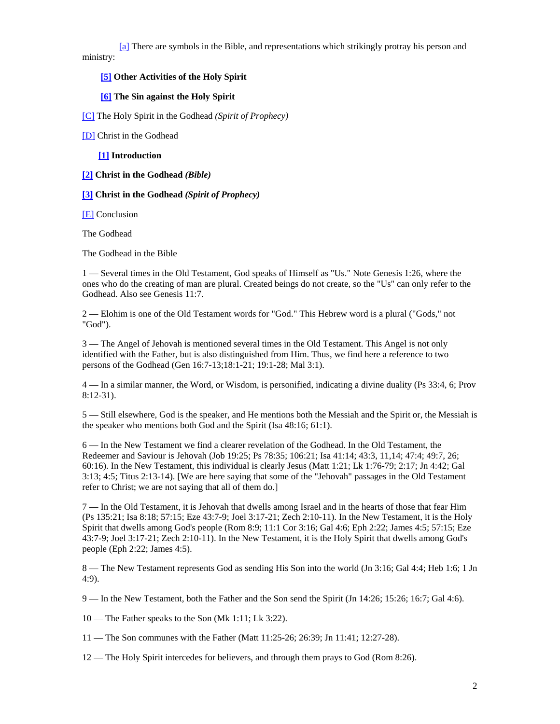[a] There are symbols in the Bible, and representations which strikingly protray his person and ministry:

# **[5] Other Activities of the Holy Spirit**

# **[6] The Sin against the Holy Spirit**

[C] The Holy Spirit in the Godhead *(Spirit of Prophecy)*

[D] Christ in the Godhead

# **[1] Introduction**

**[2] Christ in the Godhead** *(Bible)*

**[3] Christ in the Godhead** *(Spirit of Prophecy)*

[E] Conclusion

The Godhead

The Godhead in the Bible

1 — Several times in the Old Testament, God speaks of Himself as "Us." Note Genesis 1:26, where the ones who do the creating of man are plural. Created beings do not create, so the "Us" can only refer to the Godhead. Also see Genesis 11:7.

2 — Elohim is one of the Old Testament words for "God." This Hebrew word is a plural ("Gods," not "God").

3 — The Angel of Jehovah is mentioned several times in the Old Testament. This Angel is not only identified with the Father, but is also distinguished from Him. Thus, we find here a reference to two persons of the Godhead (Gen 16:7-13;18:1-21; 19:1-28; Mal 3:1).

4 — In a similar manner, the Word, or Wisdom, is personified, indicating a divine duality (Ps 33:4, 6; Prov 8:12-31).

5 — Still elsewhere, God is the speaker, and He mentions both the Messiah and the Spirit or, the Messiah is the speaker who mentions both God and the Spirit (Isa 48:16; 61:1).

6 — In the New Testament we find a clearer revelation of the Godhead. In the Old Testament, the Redeemer and Saviour is Jehovah (Job 19:25; Ps 78:35; 106:21; Isa 41:14; 43:3, 11,14; 47:4; 49:7, 26; 60:16). In the New Testament, this individual is clearly Jesus (Matt 1:21; Lk 1:76-79; 2:17; Jn 4:42; Gal 3:13; 4:5; Titus 2:13-14). [We are here saying that some of the "Jehovah" passages in the Old Testament refer to Christ; we are not saying that all of them do.]

7 — In the Old Testament, it is Jehovah that dwells among Israel and in the hearts of those that fear Him (Ps 135:21; Isa 8:18; 57:15; Eze 43:7-9; Joel 3:17-21; Zech 2:10-11). In the New Testament, it is the Holy Spirit that dwells among God's people (Rom 8:9; 11:1 Cor 3:16; Gal 4:6; Eph 2:22; James 4:5; 57:15; Eze 43:7-9; Joel 3:17-21; Zech 2:10-11). In the New Testament, it is the Holy Spirit that dwells among God's people (Eph 2:22; James 4:5).

8 — The New Testament represents God as sending His Son into the world (Jn 3:16; Gal 4:4; Heb 1:6; 1 Jn 4:9).

9 — In the New Testament, both the Father and the Son send the Spirit (Jn 14:26; 15:26; 16:7; Gal 4:6).

10 — The Father speaks to the Son (Mk 1:11; Lk 3:22).

11 — The Son communes with the Father (Matt 11:25-26; 26:39; Jn 11:41; 12:27-28).

12 — The Holy Spirit intercedes for believers, and through them prays to God (Rom 8:26).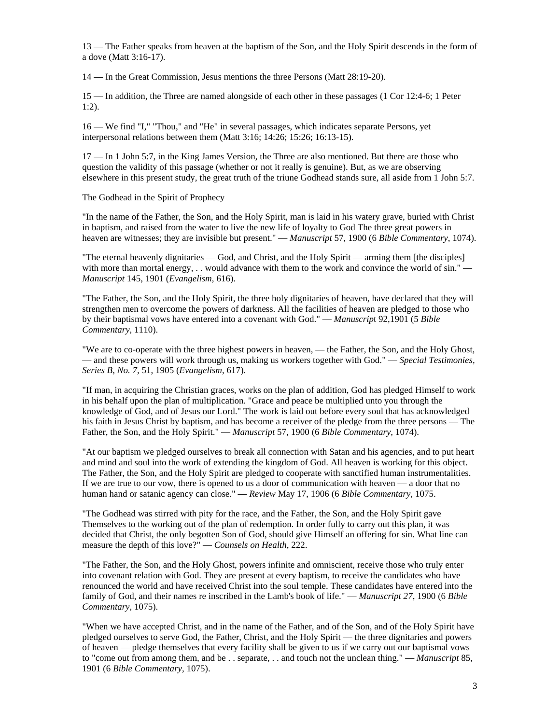13 — The Father speaks from heaven at the baptism of the Son, and the Holy Spirit descends in the form of a dove (Matt 3:16-17).

14 — In the Great Commission, Jesus mentions the three Persons (Matt 28:19-20).

15 — In addition, the Three are named alongside of each other in these passages (1 Cor 12:4-6; 1 Peter 1:2).

16 — We find "I," "Thou," and "He" in several passages, which indicates separate Persons, yet interpersonal relations between them (Matt 3:16; 14:26; 15:26; 16:13-15).

17 — In 1 John 5:7, in the King James Version, the Three are also mentioned. But there are those who question the validity of this passage (whether or not it really is genuine). But, as we are observing elsewhere in this present study, the great truth of the triune Godhead stands sure, all aside from 1 John 5:7.

The Godhead in the Spirit of Prophecy

"In the name of the Father, the Son, and the Holy Spirit, man is laid in his watery grave, buried with Christ in baptism, and raised from the water to live the new life of loyalty to God The three great powers in heaven are witnesses; they are invisible but present." — *Manuscript* 57, 1900 (6 *Bible Commentary*, 1074).

"The eternal heavenly dignitaries — God, and Christ, and the Holy Spirit — arming them [the disciples] with more than mortal energy, . . would advance with them to the work and convince the world of sin." — *Manuscript* 145, 1901 (*Evangelism*, 616).

"The Father, the Son, and the Holy Spirit, the three holy dignitaries of heaven, have declared that they will strengthen men to overcome the powers of darkness. All the facilities of heaven are pledged to those who by their baptismal vows have entered into a covenant with God." — *Manuscrip*t 92,1901 (5 *Bible Commentary*, 1110).

"We are to co-operate with the three highest powers in heaven, — the Father, the Son, and the Holy Ghost, — and these powers will work through us, making us workers together with God." — *Special Testimonies, Series B, No. 7,* 51, 1905 (*Evangelism*, 617).

"If man, in acquiring the Christian graces, works on the plan of addition, God has pledged Himself to work in his behalf upon the plan of multiplication. "Grace and peace be multiplied unto you through the knowledge of God, and of Jesus our Lord." The work is laid out before every soul that has acknowledged his faith in Jesus Christ by baptism, and has become a receiver of the pledge from the three persons — The Father, the Son, and the Holy Spirit." — *Manuscript* 57, 1900 (6 *Bible Commentary*, 1074).

"At our baptism we pledged ourselves to break all connection with Satan and his agencies, and to put heart and mind and soul into the work of extending the kingdom of God. All heaven is working for this object. The Father, the Son, and the Holy Spirit are pledged to cooperate with sanctified human instrumentalities. If we are true to our vow, there is opened to us a door of communication with heaven — a door that no human hand or satanic agency can close." — *Review* May 17, 1906 (6 *Bible Commentary*, 1075.

"The Godhead was stirred with pity for the race, and the Father, the Son, and the Holy Spirit gave Themselves to the working out of the plan of redemption. In order fully to carry out this plan, it was decided that Christ, the only begotten Son of God, should give Himself an offering for sin. What line can measure the depth of this love?" — *Counsels on Health*, 222.

"The Father, the Son, and the Holy Ghost, powers infinite and omniscient, receive those who truly enter into covenant relation with God. They are present at every baptism, to receive the candidates who have renounced the world and have received Christ into the soul temple. These candidates have entered into the family of God, and their names re inscribed in the Lamb's book of life." — *Manuscript 27*, 1900 (6 *Bible Commentary*, 1075).

"When we have accepted Christ, and in the name of the Father, and of the Son, and of the Holy Spirit have pledged ourselves to serve God, the Father, Christ, and the Holy Spirit — the three dignitaries and powers of heaven — pledge themselves that every facility shall be given to us if we carry out our baptismal vows to "come out from among them, and be . . separate, . . and touch not the unclean thing." — *Manuscript* 85, 1901 (6 *Bible Commentary*, 1075).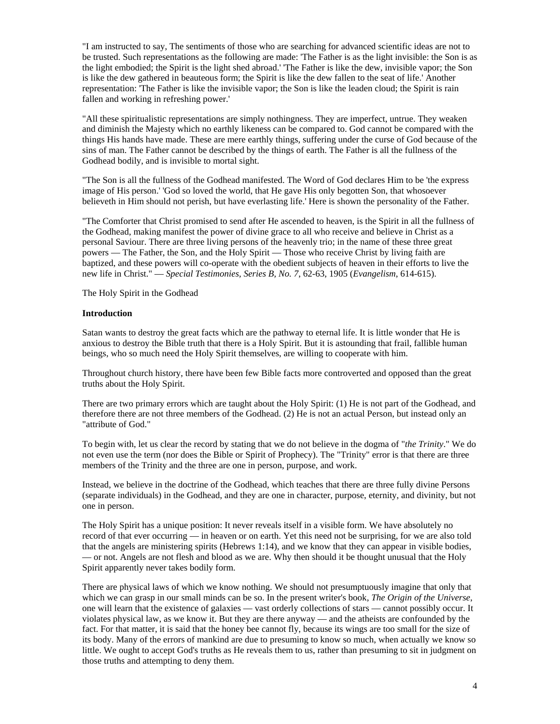"I am instructed to say, The sentiments of those who are searching for advanced scientific ideas are not to be trusted. Such representations as the following are made: 'The Father is as the light invisible: the Son is as the light embodied; the Spirit is the light shed abroad.' 'The Father is like the dew, invisible vapor; the Son is like the dew gathered in beauteous form; the Spirit is like the dew fallen to the seat of life.' Another representation: 'The Father is like the invisible vapor; the Son is like the leaden cloud; the Spirit is rain fallen and working in refreshing power.'

"All these spiritualistic representations are simply nothingness. They are imperfect, untrue. They weaken and diminish the Majesty which no earthly likeness can be compared to. God cannot be compared with the things His hands have made. These are mere earthly things, suffering under the curse of God because of the sins of man. The Father cannot be described by the things of earth. The Father is all the fullness of the Godhead bodily, and is invisible to mortal sight.

"The Son is all the fullness of the Godhead manifested. The Word of God declares Him to be 'the express image of His person.' 'God so loved the world, that He gave His only begotten Son, that whosoever believeth in Him should not perish, but have everlasting life.' Here is shown the personality of the Father.

"The Comforter that Christ promised to send after He ascended to heaven, is the Spirit in all the fullness of the Godhead, making manifest the power of divine grace to all who receive and believe in Christ as a personal Saviour. There are three living persons of the heavenly trio; in the name of these three great powers — The Father, the Son, and the Holy Spirit — Those who receive Christ by living faith are baptized, and these powers will co-operate with the obedient subjects of heaven in their efforts to live the new life in Christ." — *Special Testimonies, Series B, No. 7*, 62-63, 1905 (*Evangelism*, 614-615).

The Holy Spirit in the Godhead

#### **Introduction**

Satan wants to destroy the great facts which are the pathway to eternal life. It is little wonder that He is anxious to destroy the Bible truth that there is a Holy Spirit. But it is astounding that frail, fallible human beings, who so much need the Holy Spirit themselves, are willing to cooperate with him.

Throughout church history, there have been few Bible facts more controverted and opposed than the great truths about the Holy Spirit.

There are two primary errors which are taught about the Holy Spirit: (1) He is not part of the Godhead, and therefore there are not three members of the Godhead. (2) He is not an actual Person, but instead only an "attribute of God."

To begin with, let us clear the record by stating that we do not believe in the dogma of "*the Trinity*." We do not even use the term (nor does the Bible or Spirit of Prophecy). The "Trinity" error is that there are three members of the Trinity and the three are one in person, purpose, and work.

Instead, we believe in the doctrine of the Godhead, which teaches that there are three fully divine Persons (separate individuals) in the Godhead, and they are one in character, purpose, eternity, and divinity, but not one in person.

The Holy Spirit has a unique position: It never reveals itself in a visible form. We have absolutely no record of that ever occurring — in heaven or on earth. Yet this need not be surprising, for we are also told that the angels are ministering spirits (Hebrews 1:14), and we know that they can appear in visible bodies, — or not. Angels are not flesh and blood as we are. Why then should it be thought unusual that the Holy Spirit apparently never takes bodily form.

There are physical laws of which we know nothing. We should not presumptuously imagine that only that which we can grasp in our small minds can be so. In the present writer's book, *The Origin of the Universe*, one will learn that the existence of galaxies — vast orderly collections of stars — cannot possibly occur. It violates physical law, as we know it. But they are there anyway — and the atheists are confounded by the fact. For that matter, it is said that the honey bee cannot fly, because its wings are too small for the size of its body. Many of the errors of mankind are due to presuming to know so much, when actually we know so little. We ought to accept God's truths as He reveals them to us, rather than presuming to sit in judgment on those truths and attempting to deny them.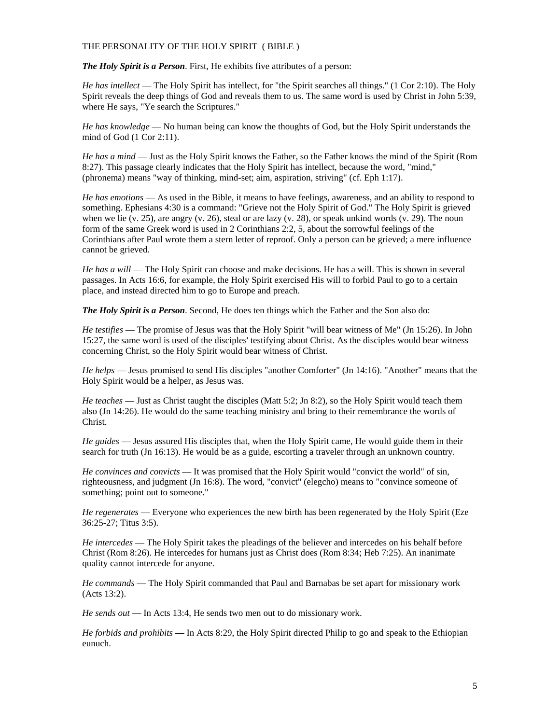THE PERSONALITY OF THE HOLY SPIRIT ( BIBLE )

*The Holy Spirit is a Person*. First, He exhibits five attributes of a person:

*He has intellect* — The Holy Spirit has intellect, for "the Spirit searches all things." (1 Cor 2:10). The Holy Spirit reveals the deep things of God and reveals them to us. The same word is used by Christ in John 5:39, where He says, "Ye search the Scriptures."

*He has knowledge* — No human being can know the thoughts of God, but the Holy Spirit understands the mind of God (1 Cor 2:11).

*He has a mind* — Just as the Holy Spirit knows the Father, so the Father knows the mind of the Spirit (Rom 8:27). This passage clearly indicates that the Holy Spirit has intellect, because the word, "mind," (phronema) means "way of thinking, mind-set; aim, aspiration, striving" (cf. Eph 1:17).

*He has emotions* — As used in the Bible, it means to have feelings, awareness, and an ability to respond to something. Ephesians 4:30 is a command: "Grieve not the Holy Spirit of God." The Holy Spirit is grieved when we lie (v. 25), are angry (v. 26), steal or are lazy (v. 28), or speak unkind words (v. 29). The noun form of the same Greek word is used in 2 Corinthians 2:2, 5, about the sorrowful feelings of the Corinthians after Paul wrote them a stern letter of reproof. Only a person can be grieved; a mere influence cannot be grieved.

*He has a will* — The Holy Spirit can choose and make decisions. He has a will. This is shown in several passages. In Acts 16:6, for example, the Holy Spirit exercised His will to forbid Paul to go to a certain place, and instead directed him to go to Europe and preach.

*The Holy Spirit is a Person*. Second, He does ten things which the Father and the Son also do:

*He testifies* — The promise of Jesus was that the Holy Spirit "will bear witness of Me" (Jn 15:26). In John 15:27, the same word is used of the disciples' testifying about Christ. As the disciples would bear witness concerning Christ, so the Holy Spirit would bear witness of Christ.

*He helps* — Jesus promised to send His disciples "another Comforter" (Jn 14:16). "Another" means that the Holy Spirit would be a helper, as Jesus was.

*He teaches* — Just as Christ taught the disciples (Matt 5:2; Jn 8:2), so the Holy Spirit would teach them also (Jn 14:26). He would do the same teaching ministry and bring to their remembrance the words of Christ.

*He guides* — Jesus assured His disciples that, when the Holy Spirit came, He would guide them in their search for truth (Jn 16:13). He would be as a guide, escorting a traveler through an unknown country.

*He convinces and convicts* — It was promised that the Holy Spirit would "convict the world" of sin, righteousness, and judgment (Jn 16:8). The word, "convict" (elegcho) means to "convince someone of something; point out to someone."

*He regenerates* — Everyone who experiences the new birth has been regenerated by the Holy Spirit (Eze 36:25-27; Titus 3:5).

*He intercedes* — The Holy Spirit takes the pleadings of the believer and intercedes on his behalf before Christ (Rom 8:26). He intercedes for humans just as Christ does (Rom 8:34; Heb 7:25). An inanimate quality cannot intercede for anyone.

*He commands* — The Holy Spirit commanded that Paul and Barnabas be set apart for missionary work (Acts 13:2).

*He sends out* — In Acts 13:4, He sends two men out to do missionary work.

*He forbids and prohibits* — In Acts 8:29, the Holy Spirit directed Philip to go and speak to the Ethiopian eunuch.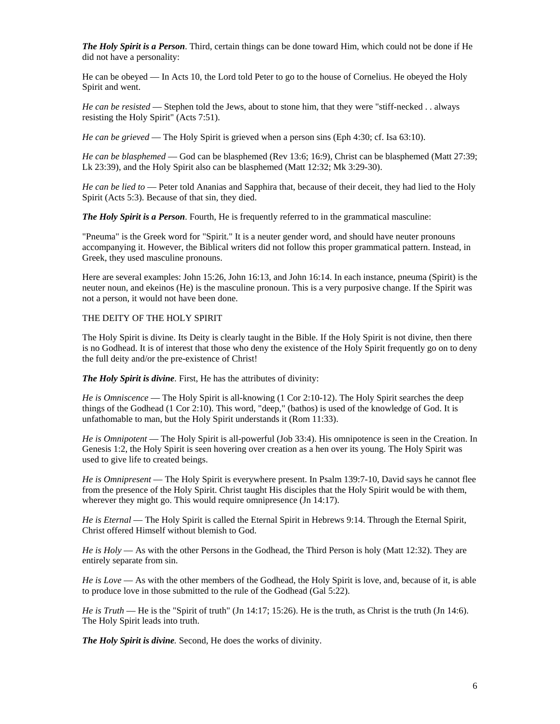*The Holy Spirit is a Person*. Third, certain things can be done toward Him, which could not be done if He did not have a personality:

He can be obeyed — In Acts 10, the Lord told Peter to go to the house of Cornelius. He obeyed the Holy Spirit and went.

*He can be resisted* — Stephen told the Jews, about to stone him, that they were "stiff-necked . . always resisting the Holy Spirit" (Acts 7:51).

*He can be grieved* — The Holy Spirit is grieved when a person sins (Eph 4:30; cf. Isa 63:10).

*He can be blasphemed* — God can be blasphemed (Rev 13:6; 16:9), Christ can be blasphemed (Matt 27:39; Lk 23:39), and the Holy Spirit also can be blasphemed (Matt 12:32; Mk 3:29-30).

*He can be lied to* — Peter told Ananias and Sapphira that, because of their deceit, they had lied to the Holy Spirit (Acts 5:3). Because of that sin, they died.

*The Holy Spirit is a Person*. Fourth, He is frequently referred to in the grammatical masculine:

"Pneuma" is the Greek word for "Spirit." It is a neuter gender word, and should have neuter pronouns accompanying it. However, the Biblical writers did not follow this proper grammatical pattern. Instead, in Greek, they used masculine pronouns.

Here are several examples: John 15:26, John 16:13, and John 16:14. In each instance, pneuma (Spirit) is the neuter noun, and ekeinos (He) is the masculine pronoun. This is a very purposive change. If the Spirit was not a person, it would not have been done.

#### THE DEITY OF THE HOLY SPIRIT

The Holy Spirit is divine. Its Deity is clearly taught in the Bible. If the Holy Spirit is not divine, then there is no Godhead. It is of interest that those who deny the existence of the Holy Spirit frequently go on to deny the full deity and/or the pre-existence of Christ!

*The Holy Spirit is divine*. First, He has the attributes of divinity:

*He is Omniscence* — The Holy Spirit is all-knowing (1 Cor 2:10-12). The Holy Spirit searches the deep things of the Godhead (1 Cor 2:10). This word, "deep," (bathos) is used of the knowledge of God. It is unfathomable to man, but the Holy Spirit understands it (Rom 11:33).

*He is Omnipotent* — The Holy Spirit is all-powerful (Job 33:4). His omnipotence is seen in the Creation. In Genesis 1:2, the Holy Spirit is seen hovering over creation as a hen over its young. The Holy Spirit was used to give life to created beings.

*He is Omnipresent* — The Holy Spirit is everywhere present. In Psalm 139:7-10, David says he cannot flee from the presence of the Holy Spirit. Christ taught His disciples that the Holy Spirit would be with them, wherever they might go. This would require omnipresence (Jn 14:17).

*He is Eternal* — The Holy Spirit is called the Eternal Spirit in Hebrews 9:14. Through the Eternal Spirit, Christ offered Himself without blemish to God.

*He is Holy* — As with the other Persons in the Godhead, the Third Person is holy (Matt 12:32). They are entirely separate from sin.

*He is Love* — As with the other members of the Godhead, the Holy Spirit is love, and, because of it, is able to produce love in those submitted to the rule of the Godhead (Gal 5:22).

*He is Truth* — He is the "Spirit of truth" (Jn 14:17; 15:26). He is the truth, as Christ is the truth (Jn 14:6). The Holy Spirit leads into truth.

*The Holy Spirit is divine.* Second, He does the works of divinity.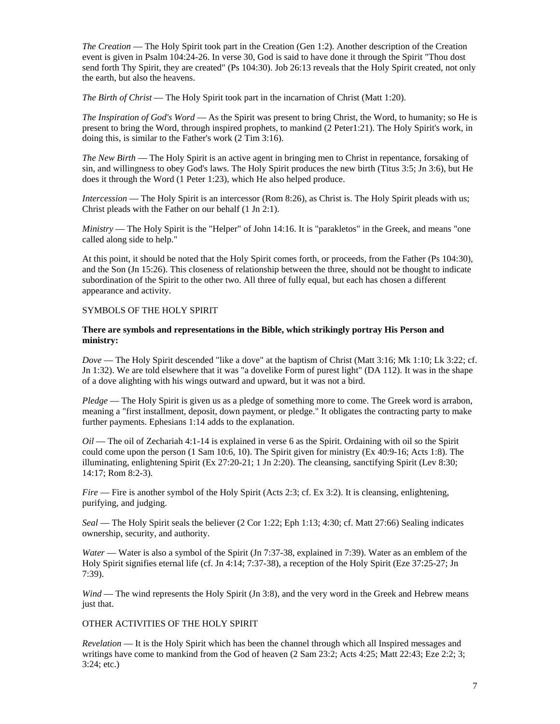*The Creation* — The Holy Spirit took part in the Creation (Gen 1:2). Another description of the Creation event is given in Psalm 104:24-26. In verse 30, God is said to have done it through the Spirit "Thou dost send forth Thy Spirit, they are created" (Ps 104:30). Job 26:13 reveals that the Holy Spirit created, not only the earth, but also the heavens.

*The Birth of Christ* — The Holy Spirit took part in the incarnation of Christ (Matt 1:20).

*The Inspiration of God's Word* — As the Spirit was present to bring Christ, the Word, to humanity; so He is present to bring the Word, through inspired prophets, to mankind (2 Peter1:21). The Holy Spirit's work, in doing this, is similar to the Father's work (2 Tim 3:16).

*The New Birth* — The Holy Spirit is an active agent in bringing men to Christ in repentance, forsaking of sin, and willingness to obey God's laws. The Holy Spirit produces the new birth (Titus 3:5; Jn 3:6), but He does it through the Word (1 Peter 1:23), which He also helped produce.

*Intercession* — The Holy Spirit is an intercessor (Rom 8:26), as Christ is. The Holy Spirit pleads with us; Christ pleads with the Father on our behalf (1 Jn 2:1).

*Ministry* — The Holy Spirit is the "Helper" of John 14:16. It is "parakletos" in the Greek, and means "one called along side to help."

At this point, it should be noted that the Holy Spirit comes forth, or proceeds, from the Father (Ps 104:30), and the Son (Jn 15:26). This closeness of relationship between the three, should not be thought to indicate subordination of the Spirit to the other two. All three of fully equal, but each has chosen a different appearance and activity.

# SYMBOLS OF THE HOLY SPIRIT

# **There are symbols and representations in the Bible, which strikingly portray His Person and ministry:**

*Dove* — The Holy Spirit descended "like a dove" at the baptism of Christ (Matt 3:16; Mk 1:10; Lk 3:22; cf. Jn 1:32). We are told elsewhere that it was "a dovelike Form of purest light" (DA 112). It was in the shape of a dove alighting with his wings outward and upward, but it was not a bird.

*Pledge* — The Holy Spirit is given us as a pledge of something more to come. The Greek word is arrabon, meaning a "first installment, deposit, down payment, or pledge." It obligates the contracting party to make further payments. Ephesians 1:14 adds to the explanation.

*Oil* — The oil of Zechariah 4:1-14 is explained in verse 6 as the Spirit. Ordaining with oil so the Spirit could come upon the person (1 Sam 10:6, 10). The Spirit given for ministry (Ex 40:9-16; Acts 1:8). The illuminating, enlightening Spirit (Ex 27:20-21; 1 Jn 2:20). The cleansing, sanctifying Spirit (Lev 8:30; 14:17; Rom 8:2-3).

*Fire* — Fire is another symbol of the Holy Spirit (Acts 2:3; cf. Ex 3:2). It is cleansing, enlightening, purifying, and judging.

*Seal* — The Holy Spirit seals the believer (2 Cor 1:22; Eph 1:13; 4:30; cf. Matt 27:66) Sealing indicates ownership, security, and authority.

*Water* — Water is also a symbol of the Spirit (Jn 7:37-38, explained in 7:39). Water as an emblem of the Holy Spirit signifies eternal life (cf. Jn 4:14; 7:37-38), a reception of the Holy Spirit (Eze 37:25-27; Jn 7:39).

*Wind* — The wind represents the Holy Spirit (Jn 3:8), and the very word in the Greek and Hebrew means just that.

# OTHER ACTIVITIES OF THE HOLY SPIRIT

*Revelation* — It is the Holy Spirit which has been the channel through which all Inspired messages and writings have come to mankind from the God of heaven (2 Sam 23:2; Acts 4:25; Matt 22:43; Eze 2:2; 3; 3:24; etc.)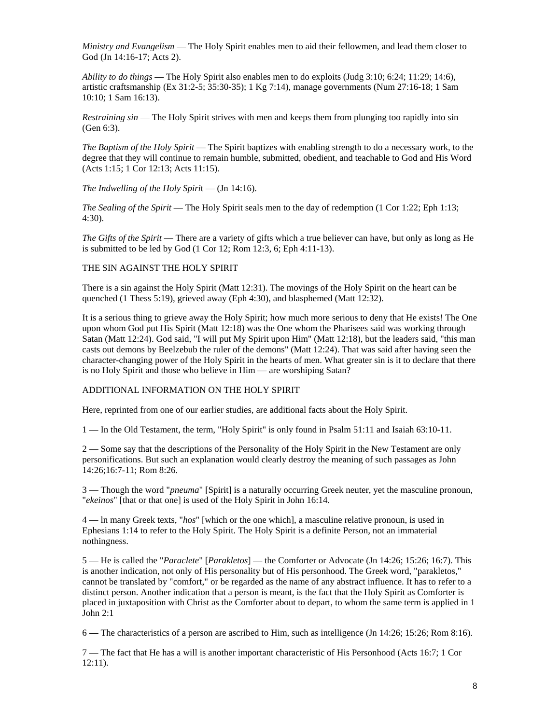*Ministry and Evangelism* — The Holy Spirit enables men to aid their fellowmen, and lead them closer to God (Jn 14:16-17; Acts 2).

*Ability to do things* — The Holy Spirit also enables men to do exploits (Judg 3:10; 6:24; 11:29; 14:6), artistic craftsmanship (Ex 31:2-5; 35:30-35); 1 Kg 7:14), manage governments (Num 27:16-18; 1 Sam 10:10; 1 Sam 16:13).

*Restraining sin* — The Holy Spirit strives with men and keeps them from plunging too rapidly into sin (Gen 6:3).

*The Baptism of the Holy Spirit* — The Spirit baptizes with enabling strength to do a necessary work, to the degree that they will continue to remain humble, submitted, obedient, and teachable to God and His Word (Acts 1:15; 1 Cor 12:13; Acts 11:15).

*The Indwelling of the Holy Spiri*t — (Jn 14:16).

*The Sealing of the Spirit* — The Holy Spirit seals men to the day of redemption (1 Cor 1:22; Eph 1:13; 4:30).

*The Gifts of the Spirit* — There are a variety of gifts which a true believer can have, but only as long as He is submitted to be led by God (1 Cor 12; Rom 12:3, 6; Eph 4:11-13).

# THE SIN AGAINST THE HOLY SPIRIT

There is a sin against the Holy Spirit (Matt 12:31). The movings of the Holy Spirit on the heart can be quenched (1 Thess 5:19), grieved away (Eph 4:30), and blasphemed (Matt 12:32).

It is a serious thing to grieve away the Holy Spirit; how much more serious to deny that He exists! The One upon whom God put His Spirit (Matt 12:18) was the One whom the Pharisees said was working through Satan (Matt 12:24). God said, "I will put My Spirit upon Him" (Matt 12:18), but the leaders said, "this man casts out demons by Beelzebub the ruler of the demons" (Matt 12:24). That was said after having seen the character-changing power of the Holy Spirit in the hearts of men. What greater sin is it to declare that there is no Holy Spirit and those who believe in Him — are worshiping Satan?

#### ADDITIONAL INFORMATION ON THE HOLY SPIRIT

Here, reprinted from one of our earlier studies, are additional facts about the Holy Spirit.

1 — In the Old Testament, the term, "Holy Spirit" is only found in Psalm 51:11 and Isaiah 63:10-11.

2 — Some say that the descriptions of the Personality of the Holy Spirit in the New Testament are only personifications. But such an explanation would clearly destroy the meaning of such passages as John 14:26;16:7-11; Rom 8:26.

3 — Though the word "*pneuma*" [Spirit] is a naturally occurring Greek neuter, yet the masculine pronoun, "*ekeinos*" [that or that one] is used of the Holy Spirit in John 16:14.

4 — ln many Greek texts, "*hos*" [which or the one which], a masculine relative pronoun, is used in Ephesians 1:14 to refer to the Holy Spirit. The Holy Spirit is a definite Person, not an immaterial nothingness.

5 — He is called the "*Paraclete*" [*Parakletos*] — the Comforter or Advocate (Jn 14:26; 15:26; 16:7). This is another indication, not only of His personality but of His personhood. The Greek word, "parakletos," cannot be translated by "comfort," or be regarded as the name of any abstract influence. It has to refer to a distinct person. Another indication that a person is meant, is the fact that the Holy Spirit as Comforter is placed in juxtaposition with Christ as the Comforter about to depart, to whom the same term is applied in 1 John 2:1

6 — The characteristics of a person are ascribed to Him, such as intelligence (Jn 14:26; 15:26; Rom 8:16).

7 — The fact that He has a will is another important characteristic of His Personhood (Acts 16:7; 1 Cor 12:11).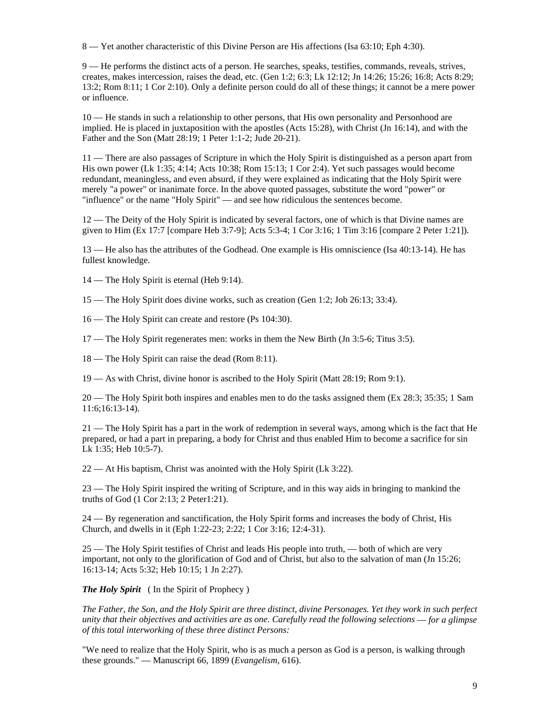8 — Yet another characteristic of this Divine Person are His affections (Isa 63:10; Eph 4:30).

9 — He performs the distinct acts of a person. He searches, speaks, testifies, commands, reveals, strives, creates, makes intercession, raises the dead, etc. (Gen 1:2; 6:3; Lk 12:12; Jn 14:26; 15:26; 16:8; Acts 8:29; 13:2; Rom 8:11; 1 Cor 2:10). Only a definite person could do all of these things; it cannot be a mere power or influence.

10 — He stands in such a relationship to other persons, that His own personality and Personhood are implied. He is placed in juxtaposition with the apostles (Acts 15:28), with Christ (Jn 16:14), and with the Father and the Son (Matt 28:19; 1 Peter 1:1-2; Jude 20-21).

11 — There are also passages of Scripture in which the Holy Spirit is distinguished as a person apart from His own power (Lk 1:35; 4:14; Acts 10:38; Rom 15:13; 1 Cor 2:4). Yet such passages would become redundant, meaningless, and even absurd, if they were explained as indicating that the Holy Spirit were merely "a power" or inanimate force. In the above quoted passages, substitute the word "power" or "influence" or the name "Holy Spirit" — and see how ridiculous the sentences become.

12 — The Deity of the Holy Spirit is indicated by several factors, one of which is that Divine names are given to Him (Ex 17:7 [compare Heb 3:7-9]; Acts 5:3-4; 1 Cor 3:16; 1 Tim 3:16 [compare 2 Peter 1:21]).

13 — He also has the attributes of the Godhead. One example is His omniscience (Isa 40:13-14). He has fullest knowledge.

14 — The Holy Spirit is eternal (Heb 9:14).

15 — The Holy Spirit does divine works, such as creation (Gen 1:2; Job 26:13; 33:4).

- 16 The Holy Spirit can create and restore (Ps 104:30).
- 17 The Holy Spirit regenerates men: works in them the New Birth (Jn 3:5-6; Titus 3:5).
- 18 The Holy Spirit can raise the dead (Rom 8:11).

19 — As with Christ, divine honor is ascribed to the Holy Spirit (Matt 28:19; Rom 9:1).

20 — The Holy Spirit both inspires and enables men to do the tasks assigned them (Ex 28:3; 35:35; 1 Sam 11:6;16:13-14).

21 — The Holy Spirit has a part in the work of redemption in several ways, among which is the fact that He prepared, or had a part in preparing, a body for Christ and thus enabled Him to become a sacrifice for sin Lk 1:35; Heb 10:5-7).

22 — At His baptism, Christ was anointed with the Holy Spirit (Lk 3:22).

23 — The Holy Spirit inspired the writing of Scripture, and in this way aids in bringing to mankind the truths of God (1 Cor 2:13; 2 Peter1:21).

24 — By regeneration and sanctification, the Holy Spirit forms and increases the body of Christ, His Church, and dwells in it (Eph 1:22-23; 2:22; 1 Cor 3:16; 12:4-31).

25 — The Holy Spirit testifies of Christ and leads His people into truth, — both of which are very important, not only to the glorification of God and of Christ, but also to the salvation of man (Jn 15:26; 16:13-14; Acts 5:32; Heb 10:15; 1 Jn 2:27).

*The Holy Spirit* ( In the Spirit of Prophecy )

*The Father, the Son, and the Holy Spirit are three distinct, divine Personages. Yet they work in such perfect unity that their objectives and activities are as one. Carefully read the following selections* — *for a glimpse of this total interworking of these three distinct Persons:* 

"We need to realize that the Holy Spirit, who is as much a person as God is a person, is walking through these grounds." — Manuscript 66, 1899 (*Evangelism*, 616).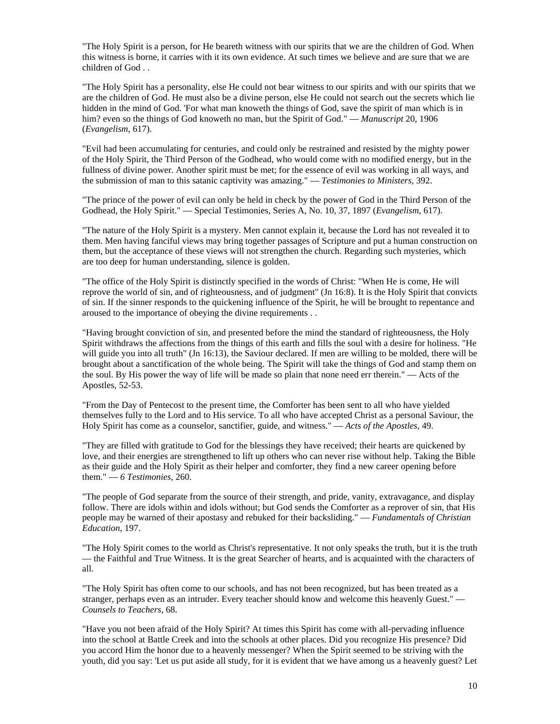"The Holy Spirit is a person, for He beareth witness with our spirits that we are the children of God. When this witness is borne, it carries with it its own evidence. At such times we believe and are sure that we are children of God . .

"The Holy Spirit has a personality, else He could not bear witness to our spirits and with our spirits that we are the children of God. He must also be a divine person, else He could not search out the secrets which lie hidden in the mind of God. 'For what man knoweth the things of God, save the spirit of man which is in him? even so the things of God knoweth no man, but the Spirit of God." — *Manuscript* 20, 1906 (*Evangelism,* 617).

"Evil had been accumulating for centuries, and could only be restrained and resisted by the mighty power of the Holy Spirit, the Third Person of the Godhead, who would come with no modified energy, but in the fullness of divine power. Another spirit must be met; for the essence of evil was working in all ways, and the submission of man to this satanic captivity was amazing." — *Testimonies to Ministers*, 392.

"The prince of the power of evil can only be held in check by the power of God in the Third Person of the Godhead, the Holy Spirit." — Special Testimonies, Series A, No. 10, 37, 1897 (*Evangelism,* 617).

"The nature of the Holy Spirit is a mystery. Men cannot explain it, because the Lord has not revealed it to them. Men having fanciful views may bring together passages of Scripture and put a human construction on them, but the acceptance of these views will not strengthen the church. Regarding such mysteries, which are too deep for human understanding, silence is golden.

"The office of the Holy Spirit is distinctly specified in the words of Christ: "When He is come, He will reprove the world of sin, and of righteousness, and of judgment" (Jn 16:8). It is the Holy Spirit that convicts of sin. If the sinner responds to the quickening influence of the Spirit, he will be brought to repentance and aroused to the importance of obeying the divine requirements . .

"Having brought conviction of sin, and presented before the mind the standard of righteousness, the Holy Spirit withdraws the affections from the things of this earth and fills the soul with a desire for holiness. "He will guide you into all truth" (Jn 16:13), the Saviour declared. If men are willing to be molded, there will be brought about a sanctification of the whole being. The Spirit will take the things of God and stamp them on the soul. By His power the way of life will be made so plain that none need err therein." — Acts of the Apostles, 52-53.

"From the Day of Pentecost to the present time, the Comforter has been sent to all who have yielded themselves fully to the Lord and to His service. To all who have accepted Christ as a personal Saviour, the Holy Spirit has come as a counselor, sanctifier, guide, and witness." — *Acts of the Apostles*, 49.

"They are filled with gratitude to God for the blessings they have received; their hearts are quickened by love, and their energies are strengthened to lift up others who can never rise without help. Taking the Bible as their guide and the Holy Spirit as their helper and comforter, they find a new career opening before them." — *6 Testimonies*, 260.

"The people of God separate from the source of their strength, and pride, vanity, extravagance, and display follow. There are idols within and idols without; but God sends the Comforter as a reprover of sin, that His people may be warned of their apostasy and rebuked for their backsliding." — *Fundamentals of Christian Education,* 197.

"The Holy Spirit comes to the world as Christ's representative. It not only speaks the truth, but it is the truth — the Faithful and True Witness. It is the great Searcher of hearts, and is acquainted with the characters of all.

"The Holy Spirit has often come to our schools, and has not been recognized, but has been treated as a stranger, perhaps even as an intruder. Every teacher should know and welcome this heavenly Guest." — *Counsels to Teachers*, 68.

"Have you not been afraid of the Holy Spirit? At times this Spirit has come with all-pervading influence into the school at Battle Creek and into the schools at other places. Did you recognize His presence? Did you accord Him the honor due to a heavenly messenger? When the Spirit seemed to be striving with the youth, did you say: 'Let us put aside all study, for it is evident that we have among us a heavenly guest? Let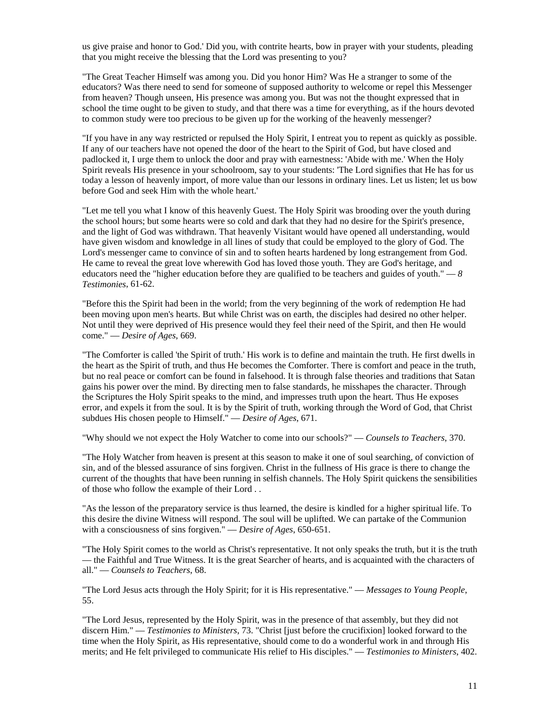us give praise and honor to God.' Did you, with contrite hearts, bow in prayer with your students, pleading that you might receive the blessing that the Lord was presenting to you?

"The Great Teacher Himself was among you. Did you honor Him? Was He a stranger to some of the educators? Was there need to send for someone of supposed authority to welcome or repel this Messenger from heaven? Though unseen, His presence was among you. But was not the thought expressed that in school the time ought to be given to study, and that there was a time for everything, as if the hours devoted to common study were too precious to be given up for the working of the heavenly messenger?

"If you have in any way restricted or repulsed the Holy Spirit, I entreat you to repent as quickly as possible. If any of our teachers have not opened the door of the heart to the Spirit of God, but have closed and padlocked it, I urge them to unlock the door and pray with earnestness: 'Abide with me.' When the Holy Spirit reveals His presence in your schoolroom, say to your students: 'The Lord signifies that He has for us today a lesson of heavenly import, of more value than our lessons in ordinary lines. Let us listen; let us bow before God and seek Him with the whole heart.'

"Let me tell you what I know of this heavenly Guest. The Holy Spirit was brooding over the youth during the school hours; but some hearts were so cold and dark that they had no desire for the Spirit's presence, and the light of God was withdrawn. That heavenly Visitant would have opened all understanding, would have given wisdom and knowledge in all lines of study that could be employed to the glory of God. The Lord's messenger came to convince of sin and to soften hearts hardened by long estrangement from God. He came to reveal the great love wherewith God has loved those youth. They are God's heritage, and educators need the "higher education before they are qualified to be teachers and guides of youth." — *8 Testimonies*, 61-62.

"Before this the Spirit had been in the world; from the very beginning of the work of redemption He had been moving upon men's hearts. But while Christ was on earth, the disciples had desired no other helper. Not until they were deprived of His presence would they feel their need of the Spirit, and then He would come." — *Desire of Ages*, 669.

"The Comforter is called 'the Spirit of truth.' His work is to define and maintain the truth. He first dwells in the heart as the Spirit of truth, and thus He becomes the Comforter. There is comfort and peace in the truth, but no real peace or comfort can be found in falsehood. It is through false theories and traditions that Satan gains his power over the mind. By directing men to false standards, he misshapes the character. Through the Scriptures the Holy Spirit speaks to the mind, and impresses truth upon the heart. Thus He exposes error, and expels it from the soul. It is by the Spirit of truth, working through the Word of God, that Christ subdues His chosen people to Himself." — *Desire of Ages*, 671.

"Why should we not expect the Holy Watcher to come into our schools?" — *Counsels to Teachers*, 370.

"The Holy Watcher from heaven is present at this season to make it one of soul searching, of conviction of sin, and of the blessed assurance of sins forgiven. Christ in the fullness of His grace is there to change the current of the thoughts that have been running in selfish channels. The Holy Spirit quickens the sensibilities of those who follow the example of their Lord . .

"As the lesson of the preparatory service is thus learned, the desire is kindled for a higher spiritual life. To this desire the divine Witness will respond. The soul will be uplifted. We can partake of the Communion with a consciousness of sins forgiven." — *Desire of Ages*, 650-651.

"The Holy Spirit comes to the world as Christ's representative. It not only speaks the truth, but it is the truth — the Faithful and True Witness. It is the great Searcher of hearts, and is acquainted with the characters of all." — *Counsels to Teachers*, 68.

"The Lord Jesus acts through the Holy Spirit; for it is His representative." — *Messages to Young People*, 55.

"The Lord Jesus, represented by the Holy Spirit, was in the presence of that assembly, but they did not discern Him." — *Testimonies to Ministers*, 73. "Christ [just before the crucifixion] looked forward to the time when the Holy Spirit, as His representative, should come to do a wonderful work in and through His merits; and He felt privileged to communicate His relief to His disciples." — *Testimonies to Ministers*, 402.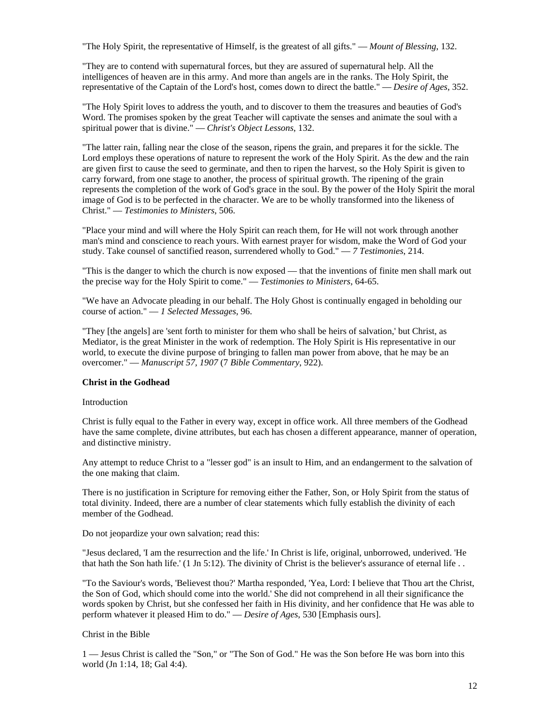"The Holy Spirit, the representative of Himself, is the greatest of all gifts." — *Mount of Blessing*, 132.

"They are to contend with supernatural forces, but they are assured of supernatural help. All the intelligences of heaven are in this army. And more than angels are in the ranks. The Holy Spirit, the representative of the Captain of the Lord's host, comes down to direct the battle." — *Desire of Ages*, 352.

"The Holy Spirit loves to address the youth, and to discover to them the treasures and beauties of God's Word. The promises spoken by the great Teacher will captivate the senses and animate the soul with a spiritual power that is divine." — *Christ's Object Lessons*, 132.

"The latter rain, falling near the close of the season, ripens the grain, and prepares it for the sickle. The Lord employs these operations of nature to represent the work of the Holy Spirit. As the dew and the rain are given first to cause the seed to germinate, and then to ripen the harvest, so the Holy Spirit is given to carry forward, from one stage to another, the process of spiritual growth. The ripening of the grain represents the completion of the work of God's grace in the soul. By the power of the Holy Spirit the moral image of God is to be perfected in the character. We are to be wholly transformed into the likeness of Christ." — *Testimonies to Ministers*, 506.

"Place your mind and will where the Holy Spirit can reach them, for He will not work through another man's mind and conscience to reach yours. With earnest prayer for wisdom, make the Word of God your study. Take counsel of sanctified reason, surrendered wholly to God." — *7 Testimonies*, 214.

"This is the danger to which the church is now exposed — that the inventions of finite men shall mark out the precise way for the Holy Spirit to come." — *Testimonies to Ministers*, 64-65.

"We have an Advocate pleading in our behalf. The Holy Ghost is continually engaged in beholding our course of action." — *1 Selected Messages*, 96.

"They [the angels] are 'sent forth to minister for them who shall be heirs of salvation,' but Christ, as Mediator, is the great Minister in the work of redemption. The Holy Spirit is His representative in our world, to execute the divine purpose of bringing to fallen man power from above, that he may be an overcomer." — *Manuscript 57, 1907* (7 *Bible Commentary*, 922).

# **Christ in the Godhead**

#### Introduction

Christ is fully equal to the Father in every way, except in office work. All three members of the Godhead have the same complete, divine attributes, but each has chosen a different appearance, manner of operation, and distinctive ministry.

Any attempt to reduce Christ to a "lesser god" is an insult to Him, and an endangerment to the salvation of the one making that claim.

There is no justification in Scripture for removing either the Father, Son, or Holy Spirit from the status of total divinity. Indeed, there are a number of clear statements which fully establish the divinity of each member of the Godhead.

Do not jeopardize your own salvation; read this:

"Jesus declared, 'I am the resurrection and the life.' In Christ is life, original, unborrowed, underived. 'He that hath the Son hath life.' (1 Jn 5:12). The divinity of Christ is the believer's assurance of eternal life..

"To the Saviour's words, 'Believest thou?' Martha responded, 'Yea, Lord: I believe that Thou art the Christ, the Son of God, which should come into the world.' She did not comprehend in all their significance the words spoken by Christ, but she confessed her faith in His divinity, and her confidence that He was able to perform whatever it pleased Him to do." — *Desire of Ages*, 530 [Emphasis ours].

#### Christ in the Bible

1 — Jesus Christ is called the "Son," or "The Son of God." He was the Son before He was born into this world (Jn 1:14, 18; Gal 4:4).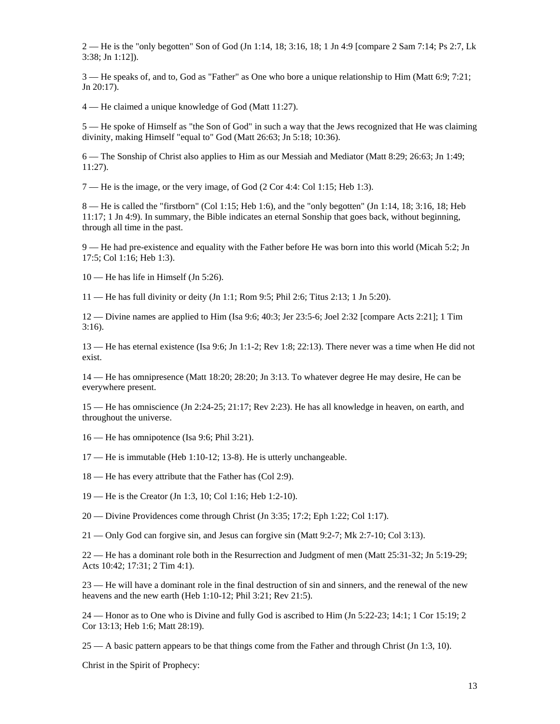2 — He is the "only begotten" Son of God (Jn 1:14, 18; 3:16, 18; 1 Jn 4:9 [compare 2 Sam 7:14; Ps 2:7, Lk 3:38; Jn 1:12]).

3 — He speaks of, and to, God as "Father" as One who bore a unique relationship to Him (Matt 6:9; 7:21; Jn 20:17).

4 — He claimed a unique knowledge of God (Matt 11:27).

5 — He spoke of Himself as "the Son of God" in such a way that the Jews recognized that He was claiming divinity, making Himself "equal to" God (Matt 26:63; Jn 5:18; 10:36).

6 — The Sonship of Christ also applies to Him as our Messiah and Mediator (Matt 8:29; 26:63; Jn 1:49; 11:27).

7 — He is the image, or the very image, of God (2 Cor 4:4: Col 1:15; Heb 1:3).

8 — He is called the "firstborn" (Col 1:15; Heb 1:6), and the "only begotten" (Jn 1:14, 18; 3:16, 18; Heb 11:17; 1 Jn 4:9). In summary, the Bible indicates an eternal Sonship that goes back, without beginning, through all time in the past.

9 — He had pre-existence and equality with the Father before He was born into this world (Micah 5:2; Jn 17:5; Col 1:16; Heb 1:3).

10 — He has life in Himself (Jn 5:26).

11 — He has full divinity or deity (Jn 1:1; Rom 9:5; Phil 2:6; Titus 2:13; 1 Jn 5:20).

12 — Divine names are applied to Him (Isa 9:6; 40:3; Jer 23:5-6; Joel 2:32 [compare Acts 2:21]; 1 Tim 3:16).

13 — He has eternal existence (Isa 9:6; Jn 1:1-2; Rev 1:8; 22:13). There never was a time when He did not exist.

14 — He has omnipresence (Matt 18:20; 28:20; Jn 3:13. To whatever degree He may desire, He can be everywhere present.

15 — He has omniscience (Jn 2:24-25; 21:17; Rev 2:23). He has all knowledge in heaven, on earth, and throughout the universe.

16 — He has omnipotence (Isa 9:6; Phil 3:21).

17 — He is immutable (Heb 1:10-12; 13-8). He is utterly unchangeable.

18 — He has every attribute that the Father has (Col 2:9).

19 — He is the Creator (Jn 1:3, 10; Col 1:16; Heb 1:2-10).

20 — Divine Providences come through Christ (Jn 3:35; 17:2; Eph 1:22; Col 1:17).

21 — Only God can forgive sin, and Jesus can forgive sin (Matt 9:2-7; Mk 2:7-10; Col 3:13).

22 — He has a dominant role both in the Resurrection and Judgment of men (Matt 25:31-32; Jn 5:19-29; Acts 10:42; 17:31; 2 Tim 4:1).

23 — He will have a dominant role in the final destruction of sin and sinners, and the renewal of the new heavens and the new earth (Heb 1:10-12; Phil 3:21; Rev 21:5).

24 — Honor as to One who is Divine and fully God is ascribed to Him (Jn 5:22-23; 14:1; 1 Cor 15:19; 2 Cor 13:13; Heb 1:6; Matt 28:19).

 $25 - A$  basic pattern appears to be that things come from the Father and through Christ (Jn 1:3, 10).

Christ in the Spirit of Prophecy: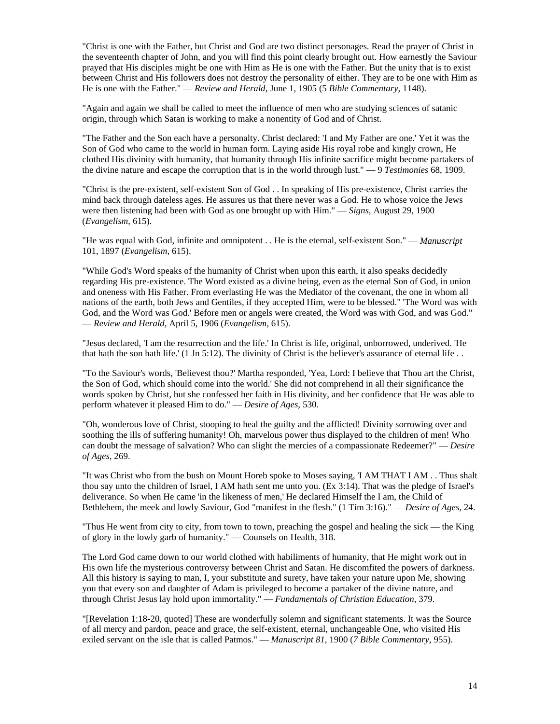"Christ is one with the Father, but Christ and God are two distinct personages. Read the prayer of Christ in the seventeenth chapter of John, and you will find this point clearly brought out. How earnestly the Saviour prayed that His disciples might be one with Him as He is one with the Father. But the unity that is to exist between Christ and His followers does not destroy the personality of either. They are to be one with Him as He is one with the Father." — *Review and Herald*, June 1, 1905 (5 *Bible Commentary*, 1148).

"Again and again we shall be called to meet the influence of men who are studying sciences of satanic origin, through which Satan is working to make a nonentity of God and of Christ.

"The Father and the Son each have a personalty. Christ declared: 'I and My Father are one.' Yet it was the Son of God who came to the world in human form. Laying aside His royal robe and kingly crown, He clothed His divinity with humanity, that humanity through His infinite sacrifice might become partakers of the divine nature and escape the corruption that is in the world through lust." — 9 *Testimonies* 68, 1909.

"Christ is the pre-existent, self-existent Son of God . . In speaking of His pre-existence, Christ carries the mind back through dateless ages. He assures us that there never was a God. He to whose voice the Jews were then listening had been with God as one brought up with Him." — *Signs*, August 29, 1900 (*Evangelism*, 615).

"He was equal with God, infinite and omnipotent . . He is the eternal, self-existent Son." — *Manuscript* 101, 1897 (*Evangelism*, 615).

"While God's Word speaks of the humanity of Christ when upon this earth, it also speaks decidedly regarding His pre-existence. The Word existed as a divine being, even as the eternal Son of God, in union and oneness with His Father. From everlasting He was the Mediator of the covenant, the one in whom all nations of the earth, both Jews and Gentiles, if they accepted Him, were to be blessed." 'The Word was with God, and the Word was God.' Before men or angels were created, the Word was with God, and was God." — *Review and Herald*, April 5, 1906 (*Evangelism*, 615).

"Jesus declared, 'I am the resurrection and the life.' In Christ is life, original, unborrowed, underived. 'He that hath the son hath life.' (1 Jn 5:12). The divinity of Christ is the believer's assurance of eternal life..

"To the Saviour's words, 'Believest thou?' Martha responded, 'Yea, Lord: I believe that Thou art the Christ, the Son of God, which should come into the world.' She did not comprehend in all their significance the words spoken by Christ, but she confessed her faith in His divinity, and her confidence that He was able to perform whatever it pleased Him to do." — *Desire of Ages*, 530.

"Oh, wonderous love of Christ, stooping to heal the guilty and the afflicted! Divinity sorrowing over and soothing the ills of suffering humanity! Oh, marvelous power thus displayed to the children of men! Who can doubt the message of salvation? Who can slight the mercies of a compassionate Redeemer?" — *Desire of Ages*, 269.

"It was Christ who from the bush on Mount Horeb spoke to Moses saying, 'I AM THAT I AM . . Thus shalt thou say unto the children of Israel, I AM hath sent me unto you. (Ex 3:14). That was the pledge of Israel's deliverance. So when He came 'in the likeness of men,' He declared Himself the I am, the Child of Bethlehem, the meek and lowly Saviour, God "manifest in the flesh." (1 Tim 3:16)." — *Desire of Ages*, 24.

"Thus He went from city to city, from town to town, preaching the gospel and healing the sick — the King of glory in the lowly garb of humanity." — Counsels on Health, 318.

The Lord God came down to our world clothed with habiliments of humanity, that He might work out in His own life the mysterious controversy between Christ and Satan. He discomfited the powers of darkness. All this history is saying to man, I, your substitute and surety, have taken your nature upon Me, showing you that every son and daughter of Adam is privileged to become a partaker of the divine nature, and through Christ Jesus lay hold upon immortality." — *Fundamentals of Christian Education*, 379.

"[Revelation 1:18-20, quoted] These are wonderfully solemn and significant statements. It was the Source of all mercy and pardon, peace and grace, the self-existent, eternal, unchangeable One, who visited His exiled servant on the isle that is called Patmos." — *Manuscript 81*, 1900 (*7 Bible Commentary*, 955).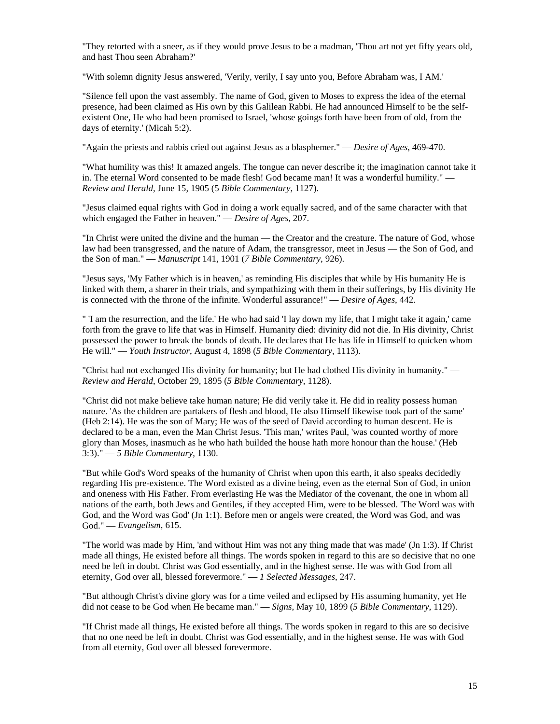"They retorted with a sneer, as if they would prove Jesus to be a madman, 'Thou art not yet fifty years old, and hast Thou seen Abraham?'

"With solemn dignity Jesus answered, 'Verily, verily, I say unto you, Before Abraham was, I AM.'

"Silence fell upon the vast assembly. The name of God, given to Moses to express the idea of the eternal presence, had been claimed as His own by this Galilean Rabbi. He had announced Himself to be the selfexistent One, He who had been promised to Israel, 'whose goings forth have been from of old, from the days of eternity.' (Micah 5:2).

"Again the priests and rabbis cried out against Jesus as a blasphemer." — *Desire of Ages*, 469-470.

"What humility was this! It amazed angels. The tongue can never describe it; the imagination cannot take it in. The eternal Word consented to be made flesh! God became man! It was a wonderful humility." — *Review and Herald*, June 15, 1905 (5 *Bible Commentary*, 1127).

"Jesus claimed equal rights with God in doing a work equally sacred, and of the same character with that which engaged the Father in heaven." — *Desire of Ages*, 207.

"In Christ were united the divine and the human — the Creator and the creature. The nature of God, whose law had been transgressed, and the nature of Adam, the transgressor, meet in Jesus — the Son of God, and the Son of man." — *Manuscript* 141, 1901 (*7 Bible Commentary*, 926).

"Jesus says, 'My Father which is in heaven,' as reminding His disciples that while by His humanity He is linked with them, a sharer in their trials, and sympathizing with them in their sufferings, by His divinity He is connected with the throne of the infinite. Wonderful assurance!" — *Desire of Ages*, 442.

" 'I am the resurrection, and the life.' He who had said 'I lay down my life, that I might take it again,' came forth from the grave to life that was in Himself. Humanity died: divinity did not die. In His divinity, Christ possessed the power to break the bonds of death. He declares that He has life in Himself to quicken whom He will." — *Youth Instructor*, August 4, 1898 (*5 Bible Commentary*, 1113).

"Christ had not exchanged His divinity for humanity; but He had clothed His divinity in humanity." — *Review and Herald*, October 29, 1895 (*5 Bible Commentary*, 1128).

"Christ did not make believe take human nature; He did verily take it. He did in reality possess human nature. 'As the children are partakers of flesh and blood, He also Himself likewise took part of the same' (Heb 2:14). He was the son of Mary; He was of the seed of David according to human descent. He is declared to be a man, even the Man Christ Jesus. 'This man,' writes Paul, 'was counted worthy of more glory than Moses, inasmuch as he who hath builded the house hath more honour than the house.' (Heb 3:3)." — *5 Bible Commentary*, 1130.

"But while God's Word speaks of the humanity of Christ when upon this earth, it also speaks decidedly regarding His pre-existence. The Word existed as a divine being, even as the eternal Son of God, in union and oneness with His Father. From everlasting He was the Mediator of the covenant, the one in whom all nations of the earth, both Jews and Gentiles, if they accepted Him, were to be blessed. 'The Word was with God, and the Word was God' (Jn 1:1). Before men or angels were created, the Word was God, and was God." — *Evangelism*, 615.

"The world was made by Him, 'and without Him was not any thing made that was made' (Jn 1:3). If Christ made all things, He existed before all things. The words spoken in regard to this are so decisive that no one need be left in doubt. Christ was God essentially, and in the highest sense. He was with God from all eternity, God over all, blessed forevermore." — *1 Selected Messages*, 247.

"But although Christ's divine glory was for a time veiled and eclipsed by His assuming humanity, yet He did not cease to be God when He became man." — *Signs*, May 10, 1899 (*5 Bible Commentary*, 1129).

"If Christ made all things, He existed before all things. The words spoken in regard to this are so decisive that no one need be left in doubt. Christ was God essentially, and in the highest sense. He was with God from all eternity, God over all blessed forevermore.